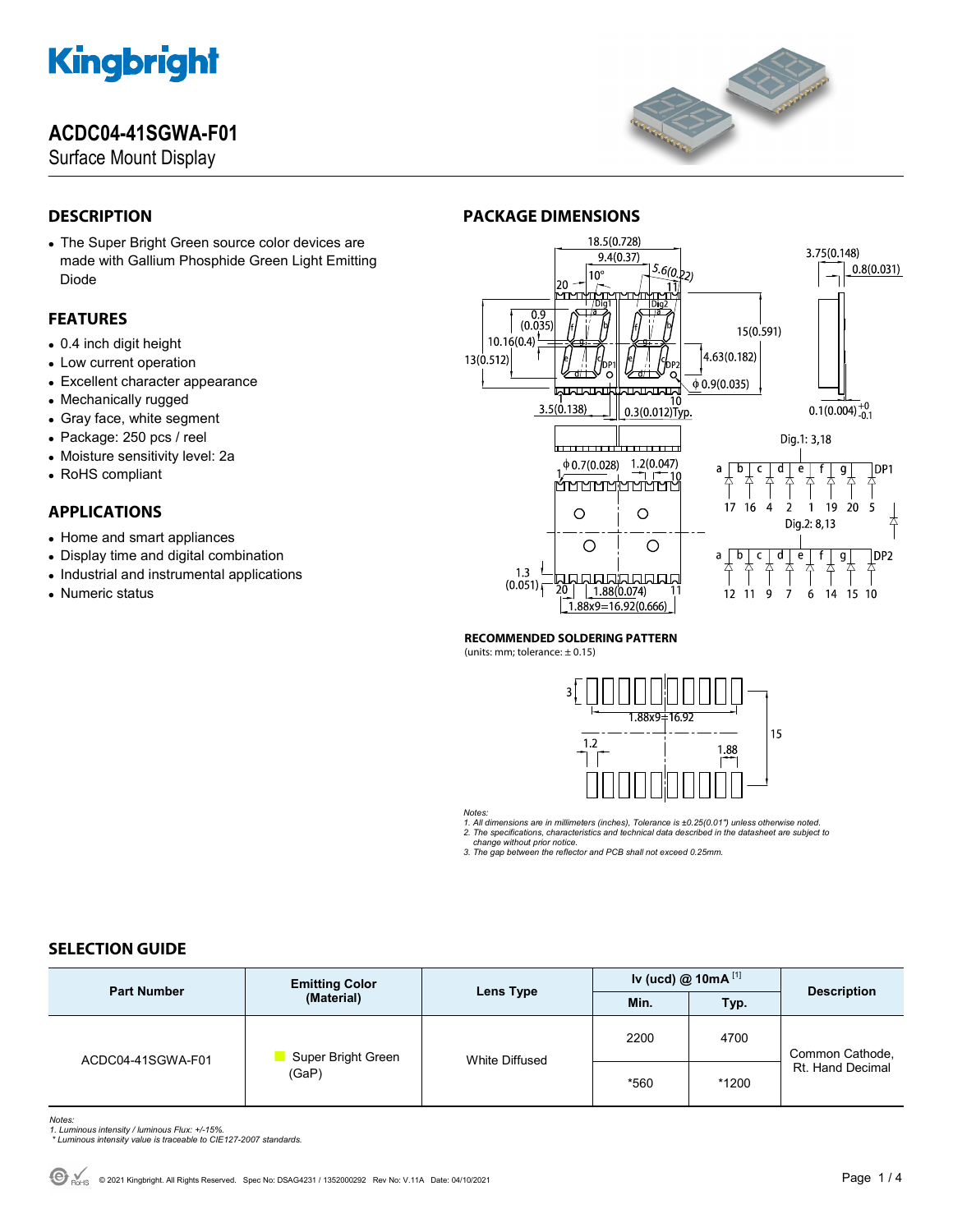## **ACDC04-41SGWA-F01**

Surface Mount Display



## **DESCRIPTION**

 The Super Bright Green source color devices are made with Gallium Phosphide Green Light Emitting Diode

### **FEATURES**

- 0.4 inch digit height
- Low current operation
- Excellent character appearance
- Mechanically rugged
- Gray face, white segment
- Package: 250 pcs / reel
- Moisture sensitivity level: 2a
- RoHS compliant

### **APPLICATIONS**

- Home and smart appliances
- Display time and digital combination
- Industrial and instrumental applications
- Numeric status

### **PACKAGE DIMENSIONS**



#### **RECOMMENDED SOLDERING PATTERN**

(units: mm; tolerance: ± 0.15)



*Notes:* 

*1. All dimensions are in millimeters (inches), Tolerance is ±0.25(0.01") unless otherwise noted. 2. The specifications, characteristics and technical data described in the datasheet are subject to* 

 *change without prior notice. 3. The gap between the reflector and PCB shall not exceed 0.25mm.* 

#### **SELECTION GUIDE**

| <b>Part Number</b> | <b>Emitting Color</b><br>(Material) | Lens Type             | Iv (ucd) @ 10mA $^{[1]}$ |       |                                     |
|--------------------|-------------------------------------|-----------------------|--------------------------|-------|-------------------------------------|
|                    |                                     |                       | Min.                     | Typ.  | <b>Description</b>                  |
| ACDC04-41SGWA-F01  | Super Bright Green<br>(GaP)         | <b>White Diffused</b> | 2200                     | 4700  | Common Cathode,<br>Rt. Hand Decimal |
|                    |                                     |                       | *560                     | *1200 |                                     |

*Notes: 1. Luminous intensity / luminous Flux: +/-15%.* 

 *\* Luminous intensity value is traceable to CIE127-2007 standards.*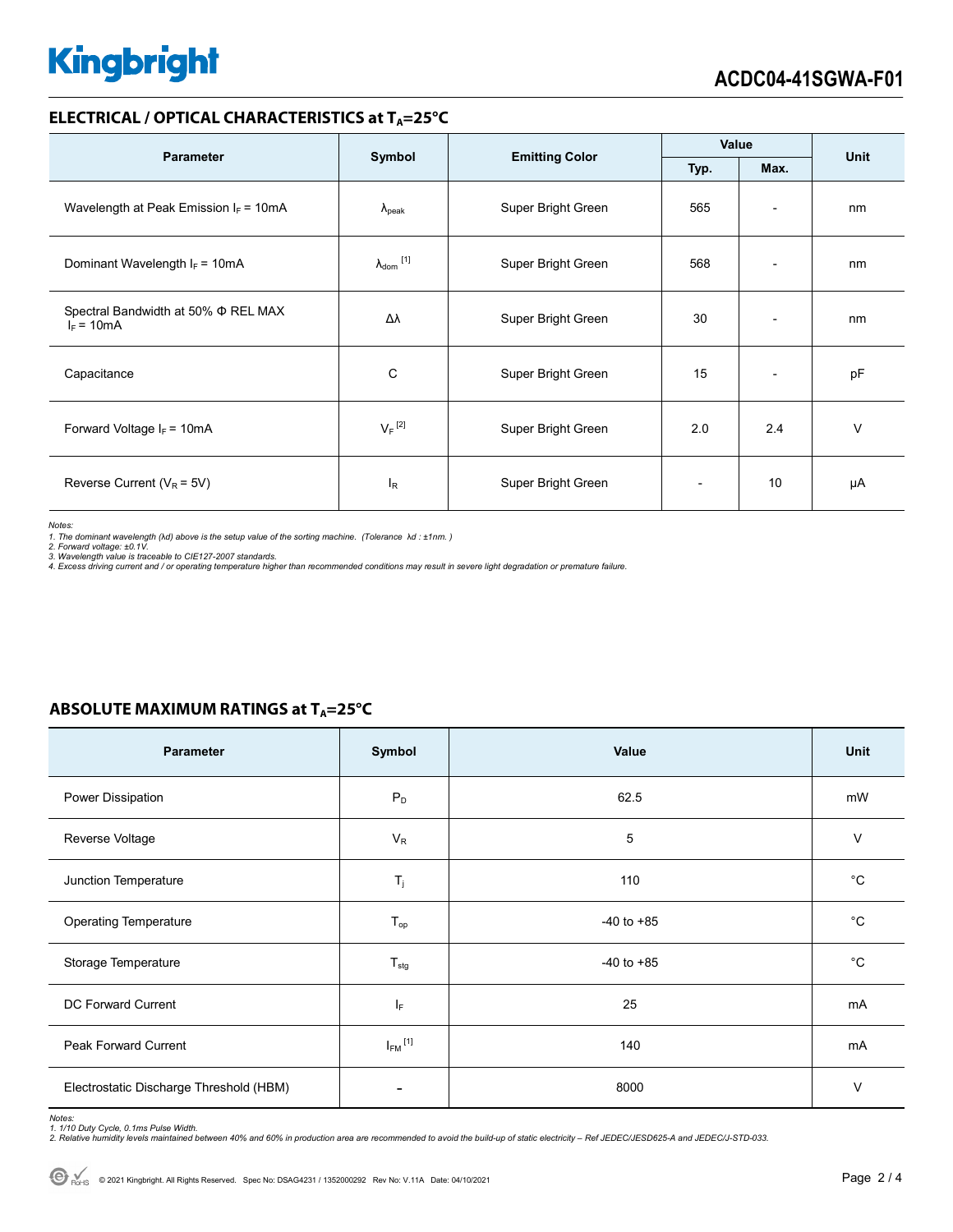#### **ELECTRICAL / OPTICAL CHARACTERISTICS at T<sub>A</sub>=25°C**

| <b>Parameter</b>                                    | Symbol                     |                       | Value |                              | <b>Unit</b> |
|-----------------------------------------------------|----------------------------|-----------------------|-------|------------------------------|-------------|
|                                                     |                            | <b>Emitting Color</b> | Typ.  | Max.                         |             |
| Wavelength at Peak Emission $I_F = 10mA$            | $\lambda_{\rm peak}$       | Super Bright Green    | 565   | $\overline{\phantom{0}}$     | nm          |
| Dominant Wavelength $I_F = 10mA$                    | $\lambda_{\text{dom}}$ [1] | Super Bright Green    | 568   | $\overline{\phantom{0}}$     | nm          |
| Spectral Bandwidth at 50% Φ REL MAX<br>$I_F = 10mA$ | Δλ                         | Super Bright Green    | 30    | $\qquad \qquad \blacksquare$ | nm          |
| Capacitance                                         | C                          | Super Bright Green    | 15    | $\overline{\phantom{a}}$     | pF          |
| Forward Voltage $I_F = 10mA$                        | $V_F$ <sup>[2]</sup>       | Super Bright Green    | 2.0   | 2.4                          | $\vee$      |
| Reverse Current ( $V_R$ = 5V)                       | $I_R$                      | Super Bright Green    |       | 10                           | μA          |

*Notes:* 

*1. The dominant wavelength (*λ*d) above is the setup value of the sorting machine. (Tolerance* λ*d : ±1nm. ) 2. Forward voltage: ±0.1V.* 

3. Wavelength value is traceable to CIE127-2007 standards.<br>4. Excess driving current and / or operating temperature higher than recommended conditions may result in severe light degradation or premature failure.

#### **ABSOLUTE MAXIMUM RATINGS at T<sub>A</sub>=25°C**

| Parameter                               | Symbol                  | Value          | Unit        |
|-----------------------------------------|-------------------------|----------------|-------------|
| Power Dissipation                       | $P_D$                   | 62.5           | mW          |
| Reverse Voltage                         | $V_R$                   | 5              | $\vee$      |
| Junction Temperature                    | $T_j$                   | 110            | $^{\circ}C$ |
| <b>Operating Temperature</b>            | $T_{op}$                | $-40$ to $+85$ | $^{\circ}C$ |
| Storage Temperature                     | $T_{\text{stg}}$        | $-40$ to $+85$ | $^{\circ}C$ |
| DC Forward Current                      | ΙF                      | 25             | mA          |
| Peak Forward Current                    | $I_{FM}$ <sup>[1]</sup> | 140            | mA          |
| Electrostatic Discharge Threshold (HBM) |                         | 8000           | $\vee$      |

Notes:<br>1. 1/10 Duty Cycle, 0.1ms Pulse Width.<br>2. Relative humidity levels maintained between 40% and 60% in production area are recommended to avoid the build-up of static electricity – Ref JEDEC/JESD625-A and JEDEC/J-STD-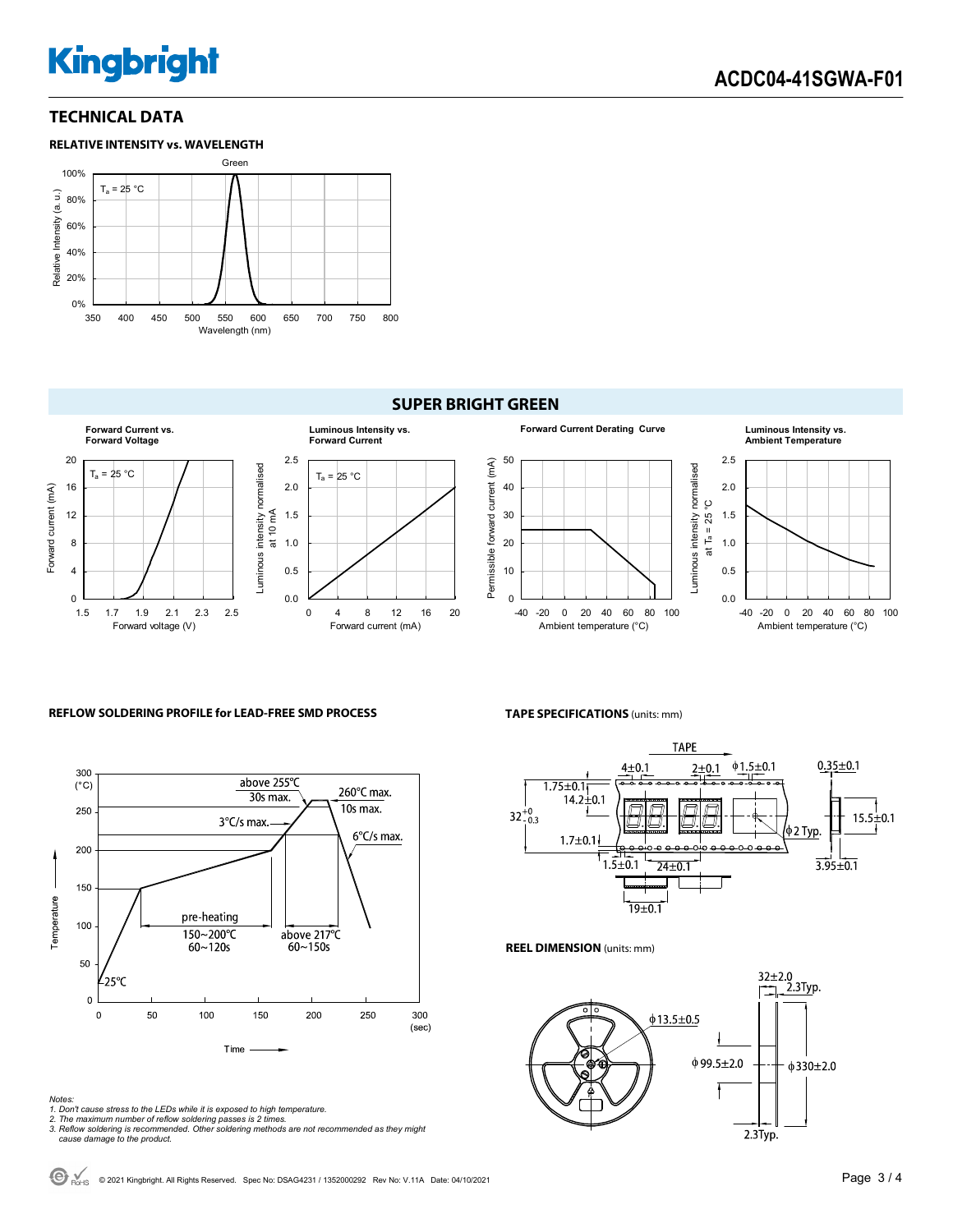#### **TECHNICAL DATA**



#### **SUPER BRIGHT GREEN**



#### **REFLOW SOLDERING PROFILE for LEAD-FREE SMD PROCESS**



#### *Notes:*

- *1. Don't cause stress to the LEDs while it is exposed to high temperature.*
- 

#### **TAPE SPECIFICATIONS** (units: mm)



#### **REEL DIMENSION** (units: mm)



*<sup>2.</sup> The maximum number of reflow soldering passes is 2 times. 3. Reflow soldering is recommended. Other soldering methods are not recommended as they might cause damage to the product.*